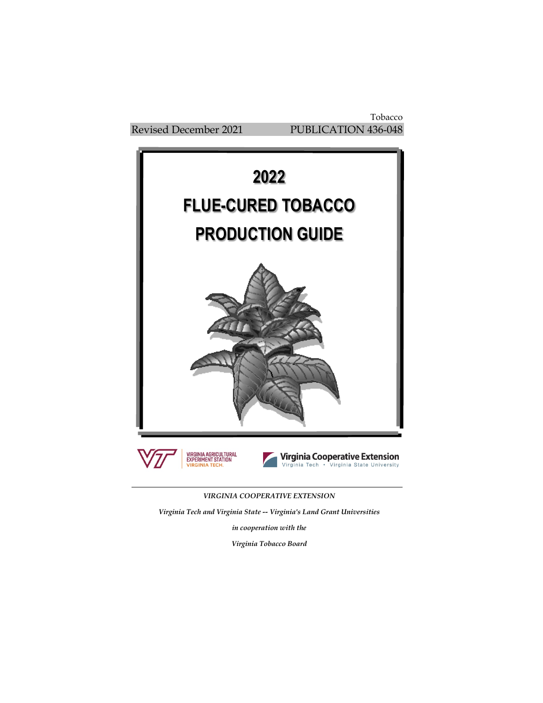Tobacco Revised December 2021 PUBLICATION 436-048



*VIRGINIA COOPERATIVE EXTENSION*

*Virginia Tech and Virginia State -- Virginia's Land Grant Universities*

*in cooperation with the*

*Virginia Tobacco Board*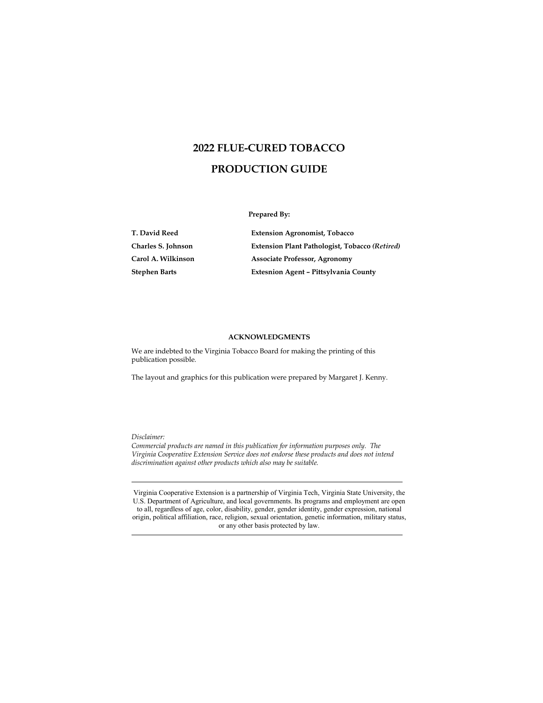# **2022 FLUE-CURED TOBACCO PRODUCTION GUIDE**

**Prepared By:**

| T. David Reed      | <b>Extension Agronomist, Tobacco</b>           |
|--------------------|------------------------------------------------|
| Charles S. Johnson | Extension Plant Pathologist, Tobacco (Retired) |
| Carol A. Wilkinson | <b>Associate Professor, Agronomy</b>           |
| Stephen Barts      | Extesnion Agent - Pittsylvania County          |

#### **ACKNOWLEDGMENTS**

We are indebted to the Virginia Tobacco Board for making the printing of this publication possible.

The layout and graphics for this publication were prepared by Margaret J. Kenny.

*Disclaimer:*

*Commercial products are named in this publication for information purposes only. The Virginia Cooperative Extension Service does not endorse these products and does not intend discrimination against other products which also may be suitable.*

Virginia Cooperative Extension is a partnership of Virginia Tech, Virginia State University, the U.S. Department of Agriculture, and local governments. Its programs and employment are open to all, regardless of age, color, disability, gender, gender identity, gender expression, national origin, political affiliation, race, religion, sexual orientation, genetic information, military status, or any other basis protected by law.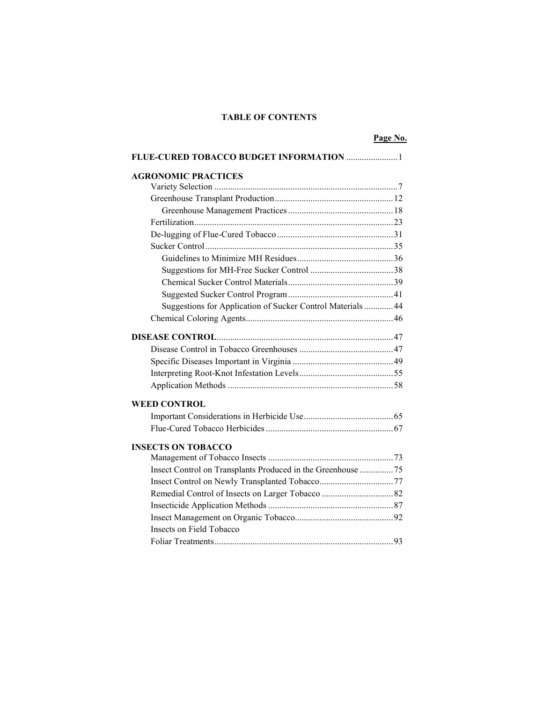## **TABLE OF CONTENTS**

#### **Page No.**

| FLUE-CURED TOBACCO BUDGET INFORMATION  1                    |  |
|-------------------------------------------------------------|--|
| <b>AGRONOMIC PRACTICES</b>                                  |  |
|                                                             |  |
|                                                             |  |
|                                                             |  |
|                                                             |  |
|                                                             |  |
|                                                             |  |
|                                                             |  |
|                                                             |  |
|                                                             |  |
|                                                             |  |
| Suggestions for Application of Sucker Control Materials  44 |  |
|                                                             |  |
|                                                             |  |
|                                                             |  |
|                                                             |  |
|                                                             |  |
|                                                             |  |
| <b>WEED CONTROL</b>                                         |  |
|                                                             |  |
|                                                             |  |
| <b>INSECTS ON TOBACCO</b>                                   |  |
|                                                             |  |
| Insect Control on Transplants Produced in the Greenhouse 75 |  |
|                                                             |  |
|                                                             |  |
|                                                             |  |
|                                                             |  |
| Insects on Field Tobacco                                    |  |
|                                                             |  |